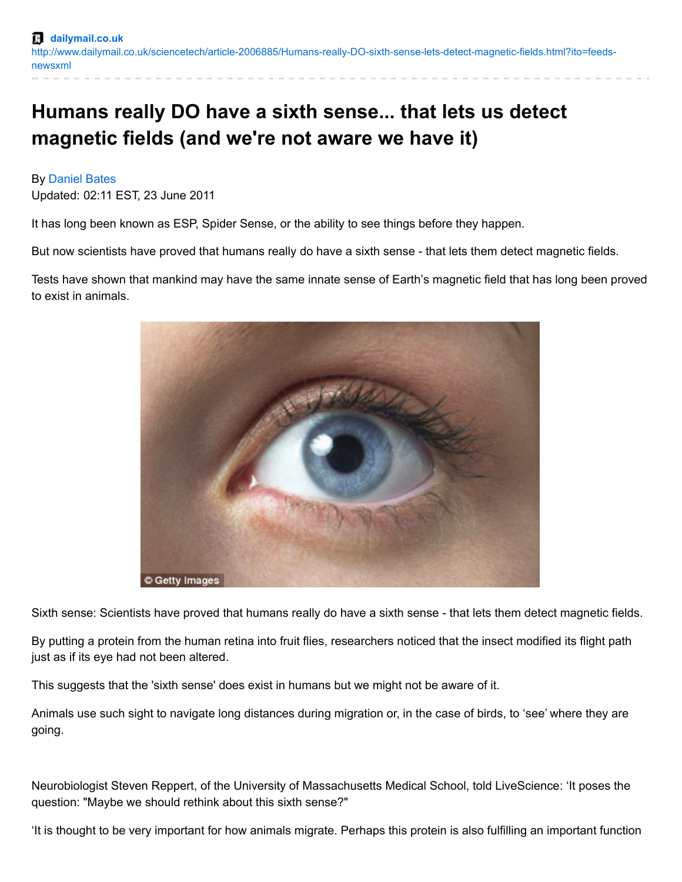## **Humans really DO have a sixth sense... that lets us detect magnetic fields (and we're not aware we have it)**

## By [Daniel](http://www.dailymail.co.uk/home/search.html?s=&authornamef=Daniel+Bates) Bates

Updated: 02:11 EST, 23 June 2011

It has long been known as ESP, Spider Sense, or the ability to see things before they happen.

But now scientists have proved that humans really do have a sixth sense - that lets them detect magnetic fields.

Tests have shown that mankind may have the same innate sense of Earth's magnetic field that has long been proved to exist in animals.



Sixth sense: Scientists have proved that humans really do have a sixth sense - that lets them detect magnetic fields.

By putting a protein from the human retina into fruit flies, researchers noticed that the insect modified its flight path just as if its eye had not been altered.

This suggests that the 'sixth sense' does exist in humans but we might not be aware of it.

Animals use such sight to navigate long distances during migration or, in the case of birds, to 'see' where they are going.

Neurobiologist Steven Reppert, of the University of Massachusetts Medical School, told LiveScience: 'It poses the question: "Maybe we should rethink about this sixth sense?"

'It is thought to be very important for how animals migrate. Perhaps this protein is also fulfilling an important function